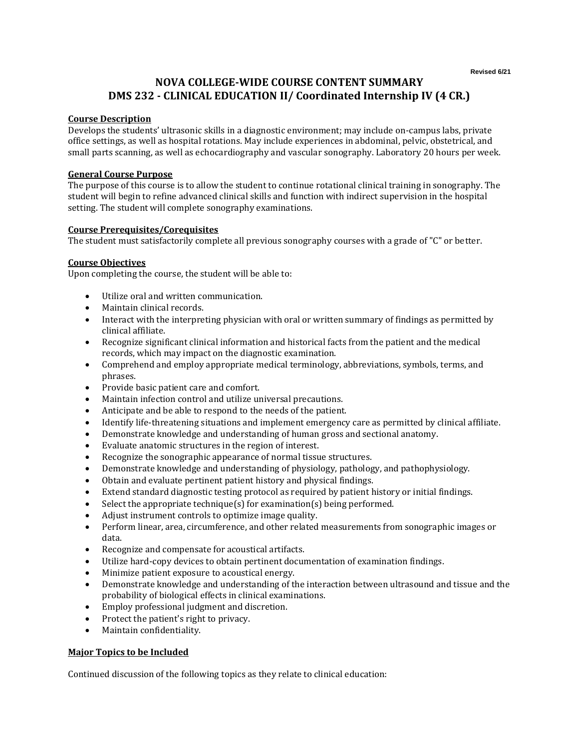# **NOVA COLLEGE-WIDE COURSE CONTENT SUMMARY DMS 232 - CLINICAL EDUCATION II/ Coordinated Internship IV (4 CR.)**

## **Course Description**

Develops the students' ultrasonic skills in a diagnostic environment; may include on-campus labs, private office settings, as well as hospital rotations. May include experiences in abdominal, pelvic, obstetrical, and small parts scanning, as well as echocardiography and vascular sonography. Laboratory 20 hours per week.

## **General Course Purpose**

The purpose of this course is to allow the student to continue rotational clinical training in sonography. The student will begin to refine advanced clinical skills and function with indirect supervision in the hospital setting. The student will complete sonography examinations.

#### **Course Prerequisites/Corequisites**

The student must satisfactorily complete all previous sonography courses with a grade of "C" or better.

#### **Course Objectives**

Upon completing the course, the student will be able to:

- Utilize oral and written communication.
- Maintain clinical records.
- Interact with the interpreting physician with oral or written summary of findings as permitted by clinical affiliate.
- Recognize significant clinical information and historical facts from the patient and the medical records, which may impact on the diagnostic examination.
- Comprehend and employ appropriate medical terminology, abbreviations, symbols, terms, and phrases.
- Provide basic patient care and comfort.
- Maintain infection control and utilize universal precautions.
- Anticipate and be able to respond to the needs of the patient.
- Identify life-threatening situations and implement emergency care as permitted by clinical affiliate.
- Demonstrate knowledge and understanding of human gross and sectional anatomy.
- Evaluate anatomic structures in the region of interest.
- Recognize the sonographic appearance of normal tissue structures.
- Demonstrate knowledge and understanding of physiology, pathology, and pathophysiology.
- Obtain and evaluate pertinent patient history and physical findings.
- Extend standard diagnostic testing protocol as required by patient history or initial findings.
- Select the appropriate technique(s) for examination(s) being performed.
- Adjust instrument controls to optimize image quality.
- Perform linear, area, circumference, and other related measurements from sonographic images or data.
- Recognize and compensate for acoustical artifacts.
- Utilize hard-copy devices to obtain pertinent documentation of examination findings.
- Minimize patient exposure to acoustical energy.
- Demonstrate knowledge and understanding of the interaction between ultrasound and tissue and the probability of biological effects in clinical examinations.
- Employ professional judgment and discretion.
- Protect the patient's right to privacy.
- Maintain confidentiality.

# **Major Topics to be Included**

Continued discussion of the following topics as they relate to clinical education: